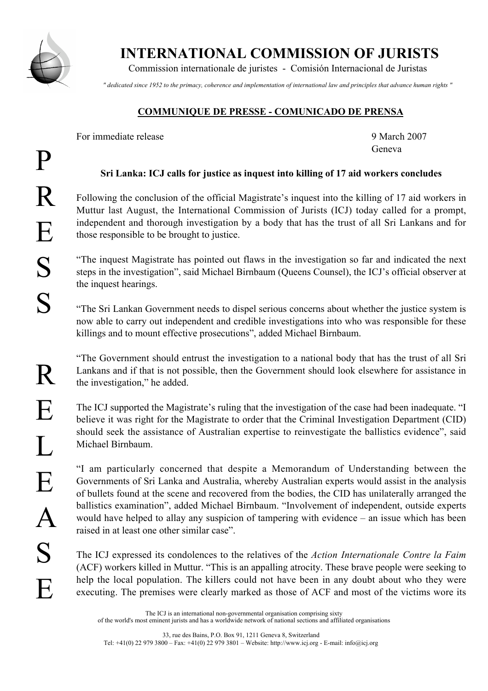

INTERNATIONAL COMMISSION OF JURISTS

Commission internationale de juristes - Comisión Internacional de Juristas

*" dedicated since 1952 to the primacy, coherence and implementation of international law and principles that advance human rights "*

## COMMUNIQUE DE PRESSE - COMUNICADO DE PRENSA

For immediate release and the set of the set of the set of the 9 March 2007

Geneva

## Sri Lanka: ICJ calls for justice as inquest into killing of 17 aid workers concludes

Following the conclusion of the official Magistrate's inquest into the killing of 17 aid workers in Muttur last August, the International Commission of Jurists (ICJ) today called for a prompt, independent and thorough investigation by a body that has the trust of all Sri Lankans and for those responsible to be brought to justice.

"The inquest Magistrate has pointed out flaws in the investigation so far and indicated the next steps in the investigation", said Michael Birnbaum (Queens Counsel), the ICJ's official observer at the inquest hearings.

"The Sri Lankan Government needs to dispel serious concerns about whether the justice system is now able to carry out independent and credible investigations into who was responsible for these killings and to mount effective prosecutions", added Michael Birnbaum.

"The Government should entrust the investigation to a national body that has the trust of all Sri Lankans and if that is not possible, then the Government should look elsewhere for assistance in the investigation," he added.

The ICJ supported the Magistrate's ruling that the investigation of the case had been inadequate. "I believe it was right for the Magistrate to order that the Criminal Investigation Department (CID) should seek the assistance of Australian expertise to reinvestigate the ballistics evidence", said Michael Birnbaum.

"I am particularly concerned that despite a Memorandum of Understanding between the Governments of Sri Lanka and Australia, whereby Australian experts would assist in the analysis of bullets found at the scene and recovered from the bodies, the CID has unilaterally arranged the ballistics examination", added Michael Birnbaum. "Involvement of independent, outside experts would have helped to allay any suspicion of tampering with evidence – an issue which has been raised in at least one other similar case".

The ICJ expressed its condolences to the relatives of the *Action Internationale Contre la Faim* (ACF) workers killed in Muttur. "This is an appalling atrocity. These brave people were seeking to help the local population. The killers could not have been in any doubt about who they were executing. The premises were clearly marked as those of ACF and most of the victims wore its

The ICJ is an international non-governmental organisation comprising sixty of the world's most eminent jurists and has a worldwide network of national sections and affiliated organisations

33, rue des Bains, P.O. Box 91, 1211 Geneva 8, Switzerland Tel: +41(0) 22 979 3800 – Fax: +41(0) 22 979 3801 – Website: http://www.icj.org - E-mail: info@icj.org

R

E

L

E

 $\bm{\mathsf{A}}$ 

S

 $\boldsymbol{\mathrm{E}}$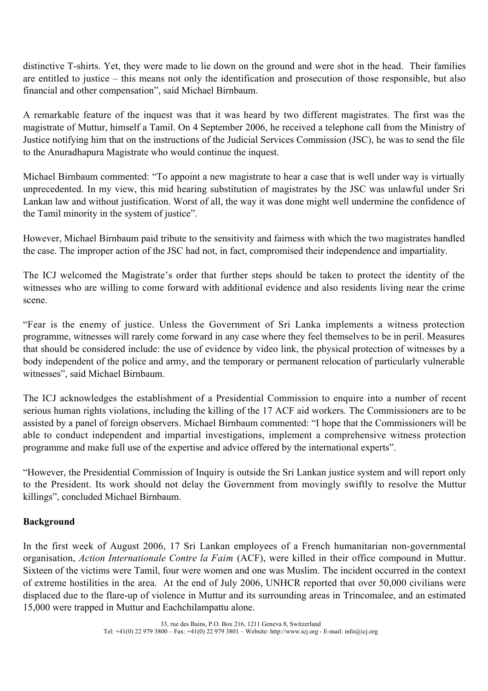distinctive T-shirts. Yet, they were made to lie down on the ground and were shot in the head. Their families are entitled to justice – this means not only the identification and prosecution of those responsible, but also financial and other compensation", said Michael Birnbaum.

A remarkable feature of the inquest was that it was heard by two different magistrates. The first was the magistrate of Muttur, himself a Tamil. On 4 September 2006, he received a telephone call from the Ministry of Justice notifying him that on the instructions of the Judicial Services Commission (JSC), he was to send the file to the Anuradhapura Magistrate who would continue the inquest.

Michael Birnbaum commented: "To appoint a new magistrate to hear a case that is well under way is virtually unprecedented. In my view, this mid hearing substitution of magistrates by the JSC was unlawful under Sri Lankan law and without justification. Worst of all, the way it was done might well undermine the confidence of the Tamil minority in the system of justice".

However, Michael Birnbaum paid tribute to the sensitivity and fairness with which the two magistrates handled the case. The improper action of the JSC had not, in fact, compromised their independence and impartiality.

The ICJ welcomed the Magistrate's order that further steps should be taken to protect the identity of the witnesses who are willing to come forward with additional evidence and also residents living near the crime scene.

"Fear is the enemy of justice. Unless the Government of Sri Lanka implements a witness protection programme, witnesses will rarely come forward in any case where they feel themselves to be in peril. Measures that should be considered include: the use of evidence by video link, the physical protection of witnesses by a body independent of the police and army, and the temporary or permanent relocation of particularly vulnerable witnesses", said Michael Birnbaum.

The ICJ acknowledges the establishment of a Presidential Commission to enquire into a number of recent serious human rights violations, including the killing of the 17 ACF aid workers. The Commissioners are to be assisted by a panel of foreign observers. Michael Birnbaum commented: "I hope that the Commissioners will be able to conduct independent and impartial investigations, implement a comprehensive witness protection programme and make full use of the expertise and advice offered by the international experts".

"However, the Presidential Commission of Inquiry is outside the Sri Lankan justice system and will report only to the President. Its work should not delay the Government from movingly swiftly to resolve the Muttur killings", concluded Michael Birnbaum.

## Background

In the first week of August 2006, 17 Sri Lankan employees of a French humanitarian non-governmental organisation, *Action Internationale Contre la Faim* (ACF), were killed in their office compound in Muttur. Sixteen of the victims were Tamil, four were women and one was Muslim. The incident occurred in the context of extreme hostilities in the area. At the end of July 2006, UNHCR reported that over 50,000 civilians were displaced due to the flare-up of violence in Muttur and its surrounding areas in Trincomalee, and an estimated 15,000 were trapped in Muttur and Eachchilampattu alone.